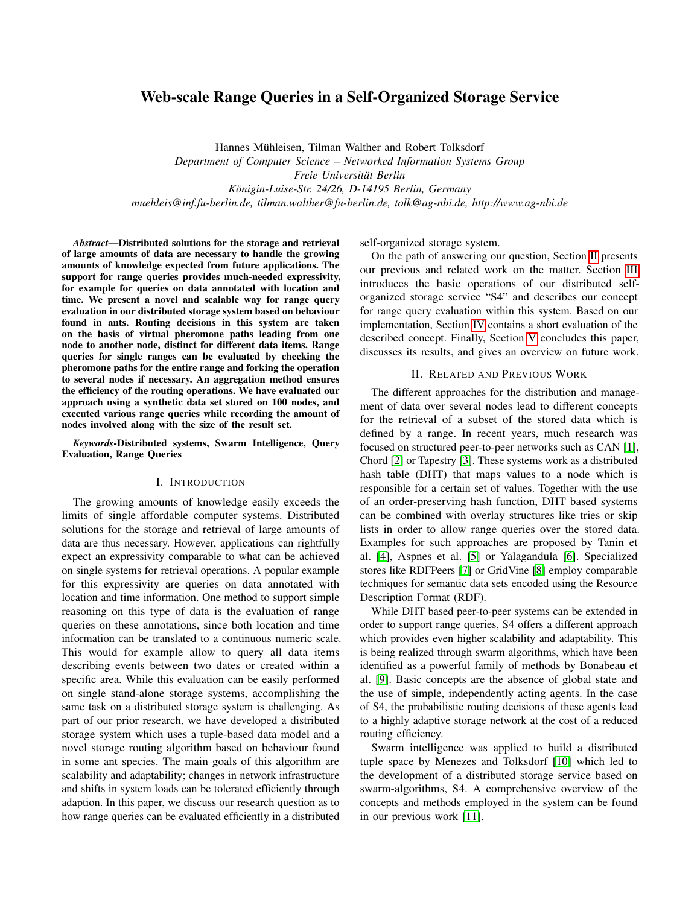# Web-scale Range Queries in a Self-Organized Storage Service

Hannes Mühleisen, Tilman Walther and Robert Tolksdorf *Department of Computer Science – Networked Information Systems Group Freie Universitat Berlin ¨ Konigin-Luise-Str. 24/26, D-14195 Berlin, Germany ¨ muehleis@inf.fu-berlin.de, tilman.walther@fu-berlin.de, tolk@ag-nbi.de, http://www.ag-nbi.de*

*Abstract*—Distributed solutions for the storage and retrieval of large amounts of data are necessary to handle the growing amounts of knowledge expected from future applications. The support for range queries provides much-needed expressivity, for example for queries on data annotated with location and time. We present a novel and scalable way for range query evaluation in our distributed storage system based on behaviour found in ants. Routing decisions in this system are taken on the basis of virtual pheromone paths leading from one node to another node, distinct for different data items. Range queries for single ranges can be evaluated by checking the pheromone paths for the entire range and forking the operation to several nodes if necessary. An aggregation method ensures the efficiency of the routing operations. We have evaluated our approach using a synthetic data set stored on 100 nodes, and executed various range queries while recording the amount of nodes involved along with the size of the result set.

*Keywords*-Distributed systems, Swarm Intelligence, Query Evaluation, Range Queries

## I. INTRODUCTION

The growing amounts of knowledge easily exceeds the limits of single affordable computer systems. Distributed solutions for the storage and retrieval of large amounts of data are thus necessary. However, applications can rightfully expect an expressivity comparable to what can be achieved on single systems for retrieval operations. A popular example for this expressivity are queries on data annotated with location and time information. One method to support simple reasoning on this type of data is the evaluation of range queries on these annotations, since both location and time information can be translated to a continuous numeric scale. This would for example allow to query all data items describing events between two dates or created within a specific area. While this evaluation can be easily performed on single stand-alone storage systems, accomplishing the same task on a distributed storage system is challenging. As part of our prior research, we have developed a distributed storage system which uses a tuple-based data model and a novel storage routing algorithm based on behaviour found in some ant species. The main goals of this algorithm are scalability and adaptability; changes in network infrastructure and shifts in system loads can be tolerated efficiently through adaption. In this paper, we discuss our research question as to how range queries can be evaluated efficiently in a distributed

self-organized storage system.

On the path of answering our question, Section [II](#page-0-0) presents our previous and related work on the matter. Section [III](#page-1-0) introduces the basic operations of our distributed selforganized storage service "S4" and describes our concept for range query evaluation within this system. Based on our implementation, Section [IV](#page-2-0) contains a short evaluation of the described concept. Finally, Section [V](#page-2-1) concludes this paper, discusses its results, and gives an overview on future work.

### II. RELATED AND PREVIOUS WORK

<span id="page-0-0"></span>The different approaches for the distribution and management of data over several nodes lead to different concepts for the retrieval of a subset of the stored data which is defined by a range. In recent years, much research was focused on structured peer-to-peer networks such as CAN [\[1\]](#page-3-0), Chord [\[2\]](#page-3-1) or Tapestry [\[3\]](#page-3-2). These systems work as a distributed hash table (DHT) that maps values to a node which is responsible for a certain set of values. Together with the use of an order-preserving hash function, DHT based systems can be combined with overlay structures like tries or skip lists in order to allow range queries over the stored data. Examples for such approaches are proposed by Tanin et al. [\[4\]](#page-3-3), Aspnes et al. [\[5\]](#page-3-4) or Yalagandula [\[6\]](#page-3-5). Specialized stores like RDFPeers [\[7\]](#page-3-6) or GridVine [\[8\]](#page-3-7) employ comparable techniques for semantic data sets encoded using the Resource Description Format (RDF).

While DHT based peer-to-peer systems can be extended in order to support range queries, S4 offers a different approach which provides even higher scalability and adaptability. This is being realized through swarm algorithms, which have been identified as a powerful family of methods by Bonabeau et al. [\[9\]](#page-3-8). Basic concepts are the absence of global state and the use of simple, independently acting agents. In the case of S4, the probabilistic routing decisions of these agents lead to a highly adaptive storage network at the cost of a reduced routing efficiency.

Swarm intelligence was applied to build a distributed tuple space by Menezes and Tolksdorf [\[10\]](#page-3-9) which led to the development of a distributed storage service based on swarm-algorithms, S4. A comprehensive overview of the concepts and methods employed in the system can be found in our previous work [\[11\]](#page-3-10).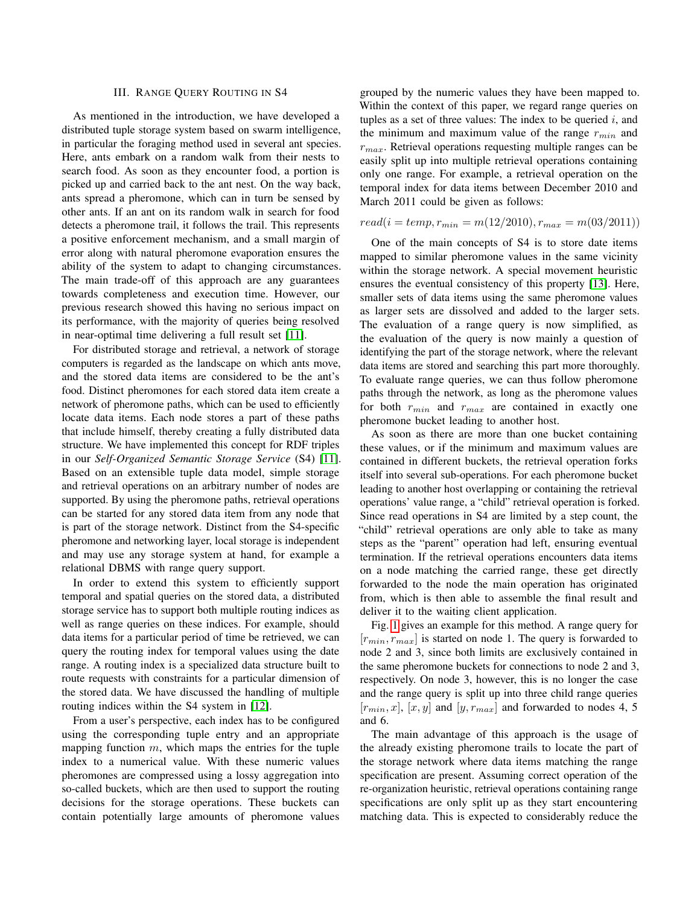## III. RANGE QUERY ROUTING IN S4

<span id="page-1-0"></span>As mentioned in the introduction, we have developed a distributed tuple storage system based on swarm intelligence, in particular the foraging method used in several ant species. Here, ants embark on a random walk from their nests to search food. As soon as they encounter food, a portion is picked up and carried back to the ant nest. On the way back, ants spread a pheromone, which can in turn be sensed by other ants. If an ant on its random walk in search for food detects a pheromone trail, it follows the trail. This represents a positive enforcement mechanism, and a small margin of error along with natural pheromone evaporation ensures the ability of the system to adapt to changing circumstances. The main trade-off of this approach are any guarantees towards completeness and execution time. However, our previous research showed this having no serious impact on its performance, with the majority of queries being resolved in near-optimal time delivering a full result set [\[11\]](#page-3-10).

For distributed storage and retrieval, a network of storage computers is regarded as the landscape on which ants move, and the stored data items are considered to be the ant's food. Distinct pheromones for each stored data item create a network of pheromone paths, which can be used to efficiently locate data items. Each node stores a part of these paths that include himself, thereby creating a fully distributed data structure. We have implemented this concept for RDF triples in our *Self-Organized Semantic Storage Service* (S4) [\[11\]](#page-3-10). Based on an extensible tuple data model, simple storage and retrieval operations on an arbitrary number of nodes are supported. By using the pheromone paths, retrieval operations can be started for any stored data item from any node that is part of the storage network. Distinct from the S4-specific pheromone and networking layer, local storage is independent and may use any storage system at hand, for example a relational DBMS with range query support.

In order to extend this system to efficiently support temporal and spatial queries on the stored data, a distributed storage service has to support both multiple routing indices as well as range queries on these indices. For example, should data items for a particular period of time be retrieved, we can query the routing index for temporal values using the date range. A routing index is a specialized data structure built to route requests with constraints for a particular dimension of the stored data. We have discussed the handling of multiple routing indices within the S4 system in [\[12\]](#page-3-11).

From a user's perspective, each index has to be configured using the corresponding tuple entry and an appropriate mapping function  $m$ , which maps the entries for the tuple index to a numerical value. With these numeric values pheromones are compressed using a lossy aggregation into so-called buckets, which are then used to support the routing decisions for the storage operations. These buckets can contain potentially large amounts of pheromone values grouped by the numeric values they have been mapped to. Within the context of this paper, we regard range queries on tuples as a set of three values: The index to be queried  $i$ , and the minimum and maximum value of the range  $r_{min}$  and  $r_{max}$ . Retrieval operations requesting multiple ranges can be easily split up into multiple retrieval operations containing only one range. For example, a retrieval operation on the temporal index for data items between December 2010 and March 2011 could be given as follows:

$$
read(i = temp, r_{min} = m(12/2010), r_{max} = m(03/2011))
$$

One of the main concepts of S4 is to store date items mapped to similar pheromone values in the same vicinity within the storage network. A special movement heuristic ensures the eventual consistency of this property [\[13\]](#page-3-12). Here, smaller sets of data items using the same pheromone values as larger sets are dissolved and added to the larger sets. The evaluation of a range query is now simplified, as the evaluation of the query is now mainly a question of identifying the part of the storage network, where the relevant data items are stored and searching this part more thoroughly. To evaluate range queries, we can thus follow pheromone paths through the network, as long as the pheromone values for both  $r_{min}$  and  $r_{max}$  are contained in exactly one pheromone bucket leading to another host.

As soon as there are more than one bucket containing these values, or if the minimum and maximum values are contained in different buckets, the retrieval operation forks itself into several sub-operations. For each pheromone bucket leading to another host overlapping or containing the retrieval operations' value range, a "child" retrieval operation is forked. Since read operations in S4 are limited by a step count, the "child" retrieval operations are only able to take as many steps as the "parent" operation had left, ensuring eventual termination. If the retrieval operations encounters data items on a node matching the carried range, these get directly forwarded to the node the main operation has originated from, which is then able to assemble the final result and deliver it to the waiting client application.

Fig. [1](#page-2-2) gives an example for this method. A range query for  $[r_{min}, r_{max}]$  is started on node 1. The query is forwarded to node 2 and 3, since both limits are exclusively contained in the same pheromone buckets for connections to node 2 and 3, respectively. On node 3, however, this is no longer the case and the range query is split up into three child range queries  $[r_{min}, x]$ ,  $[x, y]$  and  $[y, r_{max}]$  and forwarded to nodes 4, 5 and 6.

The main advantage of this approach is the usage of the already existing pheromone trails to locate the part of the storage network where data items matching the range specification are present. Assuming correct operation of the re-organization heuristic, retrieval operations containing range specifications are only split up as they start encountering matching data. This is expected to considerably reduce the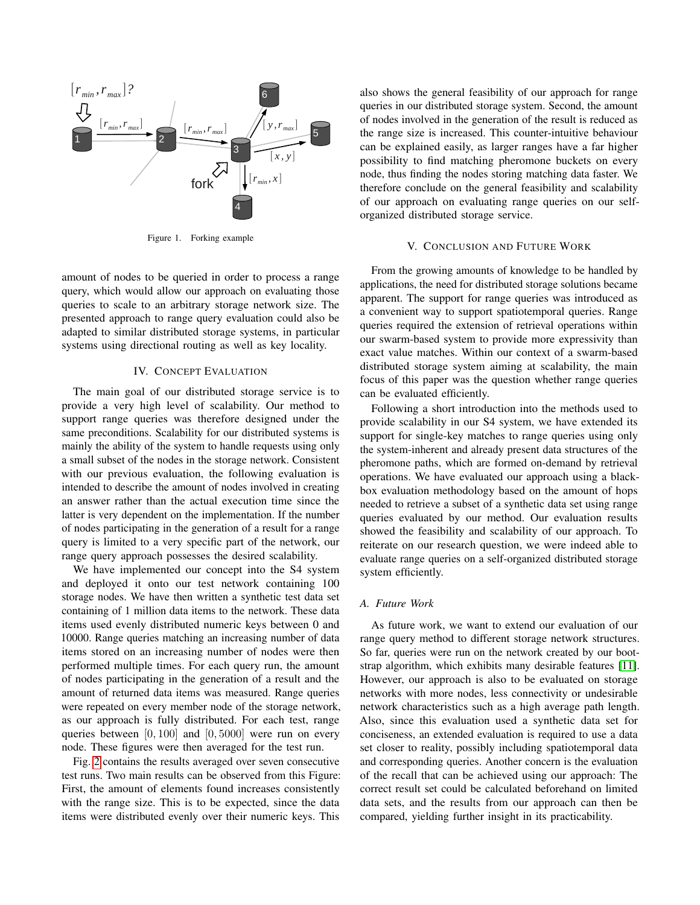

<span id="page-2-2"></span>Figure 1. Forking example

amount of nodes to be queried in order to process a range query, which would allow our approach on evaluating those queries to scale to an arbitrary storage network size. The presented approach to range query evaluation could also be adapted to similar distributed storage systems, in particular systems using directional routing as well as key locality.

# IV. CONCEPT EVALUATION

<span id="page-2-0"></span>The main goal of our distributed storage service is to provide a very high level of scalability. Our method to support range queries was therefore designed under the same preconditions. Scalability for our distributed systems is mainly the ability of the system to handle requests using only a small subset of the nodes in the storage network. Consistent with our previous evaluation, the following evaluation is intended to describe the amount of nodes involved in creating an answer rather than the actual execution time since the latter is very dependent on the implementation. If the number of nodes participating in the generation of a result for a range query is limited to a very specific part of the network, our range query approach possesses the desired scalability.

We have implemented our concept into the S4 system and deployed it onto our test network containing 100 storage nodes. We have then written a synthetic test data set containing of 1 million data items to the network. These data items used evenly distributed numeric keys between 0 and 10000. Range queries matching an increasing number of data items stored on an increasing number of nodes were then performed multiple times. For each query run, the amount of nodes participating in the generation of a result and the amount of returned data items was measured. Range queries were repeated on every member node of the storage network, as our approach is fully distributed. For each test, range queries between  $[0, 100]$  and  $[0, 5000]$  were run on every node. These figures were then averaged for the test run.

Fig. [2](#page-3-13) contains the results averaged over seven consecutive test runs. Two main results can be observed from this Figure: First, the amount of elements found increases consistently with the range size. This is to be expected, since the data items were distributed evenly over their numeric keys. This

also shows the general feasibility of our approach for range queries in our distributed storage system. Second, the amount of nodes involved in the generation of the result is reduced as the range size is increased. This counter-intuitive behaviour can be explained easily, as larger ranges have a far higher possibility to find matching pheromone buckets on every node, thus finding the nodes storing matching data faster. We therefore conclude on the general feasibility and scalability of our approach on evaluating range queries on our selforganized distributed storage service.

### V. CONCLUSION AND FUTURE WORK

<span id="page-2-1"></span>From the growing amounts of knowledge to be handled by applications, the need for distributed storage solutions became apparent. The support for range queries was introduced as a convenient way to support spatiotemporal queries. Range queries required the extension of retrieval operations within our swarm-based system to provide more expressivity than exact value matches. Within our context of a swarm-based distributed storage system aiming at scalability, the main focus of this paper was the question whether range queries can be evaluated efficiently.

Following a short introduction into the methods used to provide scalability in our S4 system, we have extended its support for single-key matches to range queries using only the system-inherent and already present data structures of the pheromone paths, which are formed on-demand by retrieval operations. We have evaluated our approach using a blackbox evaluation methodology based on the amount of hops needed to retrieve a subset of a synthetic data set using range queries evaluated by our method. Our evaluation results showed the feasibility and scalability of our approach. To reiterate on our research question, we were indeed able to evaluate range queries on a self-organized distributed storage system efficiently.

# *A. Future Work*

As future work, we want to extend our evaluation of our range query method to different storage network structures. So far, queries were run on the network created by our bootstrap algorithm, which exhibits many desirable features [\[11\]](#page-3-10). However, our approach is also to be evaluated on storage networks with more nodes, less connectivity or undesirable network characteristics such as a high average path length. Also, since this evaluation used a synthetic data set for conciseness, an extended evaluation is required to use a data set closer to reality, possibly including spatiotemporal data and corresponding queries. Another concern is the evaluation of the recall that can be achieved using our approach: The correct result set could be calculated beforehand on limited data sets, and the results from our approach can then be compared, yielding further insight in its practicability.